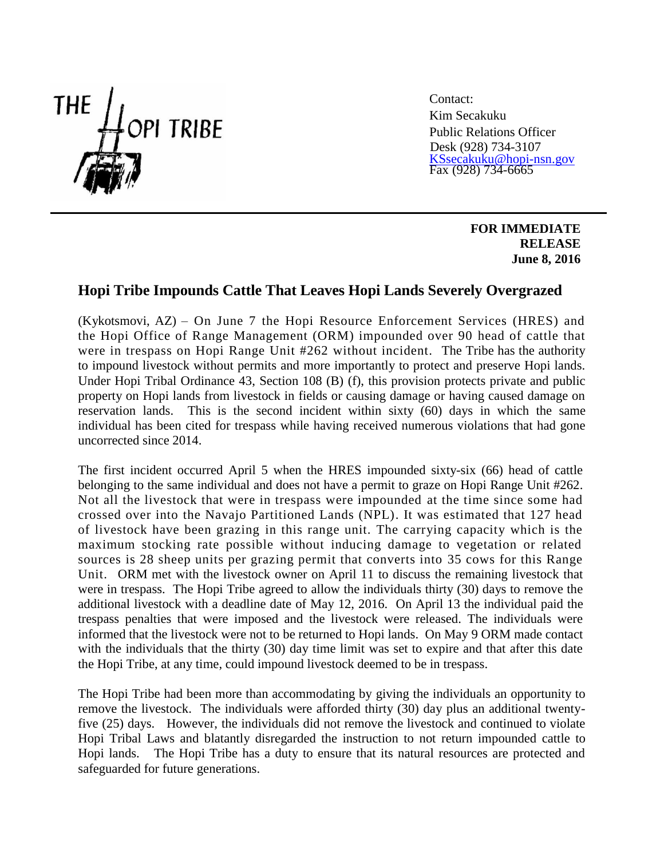

Contact: Kim Secakuku Public Relations Officer Desk (928) 734-3107 [KSsecakuku@hopi-nsn.gov](mailto:KSsecakuku@hopi-nsn.gov) Fax (928) 734-6665

> **FOR IMMEDIATE RELEASE June 8, 2016**

## **Hopi Tribe Impounds Cattle That Leaves Hopi Lands Severely Overgrazed**

(Kykotsmovi, AZ) – On June 7 the Hopi Resource Enforcement Services (HRES) and the Hopi Office of Range Management (ORM) impounded over 90 head of cattle that were in trespass on Hopi Range Unit #262 without incident. The Tribe has the authority to impound livestock without permits and more importantly to protect and preserve Hopi lands. Under Hopi Tribal Ordinance 43, Section 108 (B) (f), this provision protects private and public property on Hopi lands from livestock in fields or causing damage or having caused damage on reservation lands. This is the second incident within sixty (60) days in which the same individual has been cited for trespass while having received numerous violations that had gone uncorrected since 2014.

The first incident occurred April 5 when the HRES impounded sixty-six (66) head of cattle belonging to the same individual and does not have a permit to graze on Hopi Range Unit #262. Not all the livestock that were in trespass were impounded at the time since some had crossed over into the Navajo Partitioned Lands (NPL). It was estimated that 127 head of livestock have been grazing in this range unit. The carrying capacity which is the maximum stocking rate possible without inducing damage to vegetation or related sources is 28 sheep units per grazing permit that converts into 35 cows for this Range Unit. ORM met with the livestock owner on April 11 to discuss the remaining livestock that were in trespass. The Hopi Tribe agreed to allow the individuals thirty (30) days to remove the additional livestock with a deadline date of May 12, 2016. On April 13 the individual paid the trespass penalties that were imposed and the livestock were released. The individuals were informed that the livestock were not to be returned to Hopi lands. On May 9 ORM made contact with the individuals that the thirty (30) day time limit was set to expire and that after this date the Hopi Tribe, at any time, could impound livestock deemed to be in trespass.

The Hopi Tribe had been more than accommodating by giving the individuals an opportunity to remove the livestock. The individuals were afforded thirty (30) day plus an additional twentyfive (25) days. However, the individuals did not remove the livestock and continued to violate Hopi Tribal Laws and blatantly disregarded the instruction to not return impounded cattle to Hopi lands. The Hopi Tribe has a duty to ensure that its natural resources are protected and safeguarded for future generations.